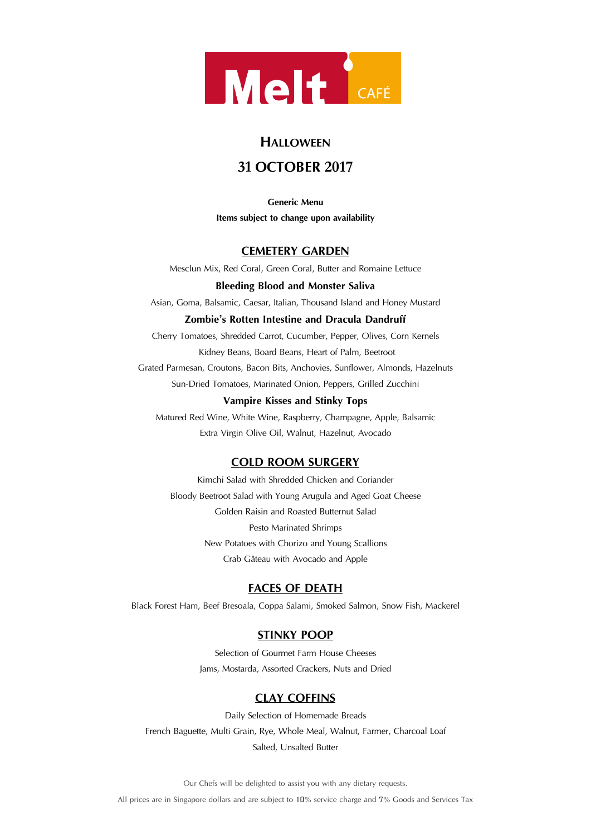

# **HALLOWEEN**

# **31 OCTOBER 2017**

**Generic Menu Items subject to change upon availability**

### **CEMETERY GARDEN**

Mesclun Mix, Red Coral, Green Coral, Butter and Romaine Lettuce

#### **Bleeding Blood and Monster Saliva**

Asian, Goma, Balsamic, Caesar, Italian, Thousand Island and Honey Mustard

### **Zombie's Rotten Intestine and Dracula Dandruff**

Cherry Tomatoes, Shredded Carrot, Cucumber, Pepper, Olives, Corn Kernels Kidney Beans, Board Beans, Heart of Palm, Beetroot Grated Parmesan, Croutons, Bacon Bits, Anchovies, Sunflower, Almonds, Hazelnuts Sun-Dried Tomatoes, Marinated Onion, Peppers, Grilled Zucchini

#### **Vampire Kisses and Stinky Tops**

Matured Red Wine, White Wine, Raspberry, Champagne, Apple, Balsamic Extra Virgin Olive Oil, Walnut, Hazelnut, Avocado

# **COLD ROOM SURGERY**

Kimchi Salad with Shredded Chicken and Coriander Bloody Beetroot Salad with Young Arugula and Aged Goat Cheese Golden Raisin and Roasted Butternut Salad Pesto Marinated Shrimps New Potatoes with Chorizo and Young Scallions Crab Gâteau with Avocado and Apple

# **FACES OF DEATH**

Black Forest Ham, Beef Bresoala, Coppa Salami, Smoked Salmon, Snow Fish, Mackerel

# **STINKY POOP**

Selection of Gourmet Farm House Cheeses Jams, Mostarda, Assorted Crackers, Nuts and Dried

# **CLAY COFFINS**

Daily Selection of Homemade Breads French Baguette, Multi Grain, Rye, Whole Meal, Walnut, Farmer, Charcoal Loaf Salted, Unsalted Butter

Our Chefs will be delighted to assist you with any dietary requests.

All prices are in Singapore dollars and are subject to 10% service charge and 7% Goods and Services Tax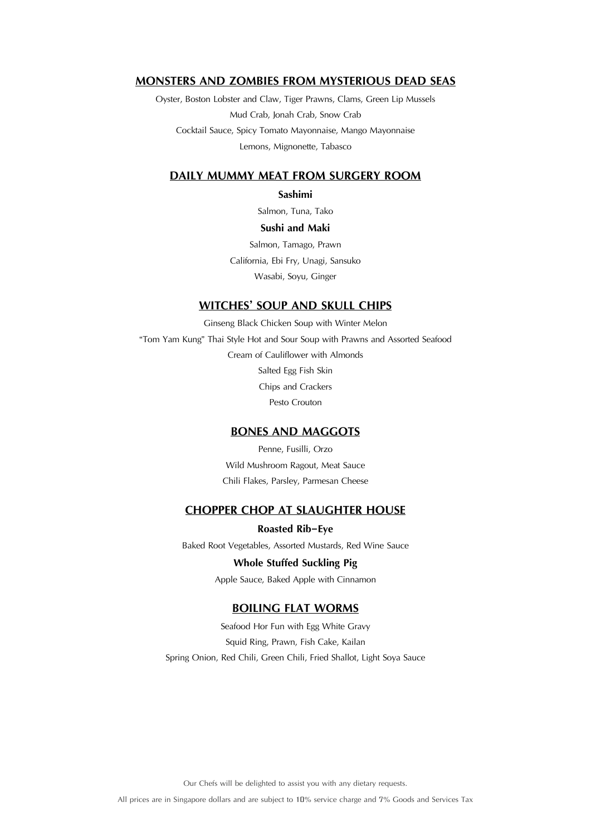### **MONSTERS AND ZOMBIES FROM MYSTERIOUS DEAD SEAS**

Oyster, Boston Lobster and Claw, Tiger Prawns, Clams, Green Lip Mussels Mud Crab, Jonah Crab, Snow Crab Cocktail Sauce, Spicy Tomato Mayonnaise, Mango Mayonnaise Lemons, Mignonette, Tabasco

### **DAILY MUMMY MEAT FROM SURGERY ROOM**

#### **Sashimi**

Salmon, Tuna, Tako

#### **Sushi and Maki**

Salmon, Tamago, Prawn California, Ebi Fry, Unagi, Sansuko Wasabi, Soyu, Ginger

#### **WITCHES' SOUP AND SKULL CHIPS**

Ginseng Black Chicken Soup with Winter Melon "Tom Yam Kung" Thai Style Hot and Sour Soup with Prawns and Assorted Seafood Cream of Cauliflower with Almonds Salted Egg Fish Skin Chips and Crackers Pesto Crouton

### **BONES AND MAGGOTS**

Penne, Fusilli, Orzo Wild Mushroom Ragout, Meat Sauce Chili Flakes, Parsley, Parmesan Cheese

### **CHOPPER CHOP AT SLAUGHTER HOUSE**

**Roasted Rib-Eye** Baked Root Vegetables, Assorted Mustards, Red Wine Sauce

#### **Whole Stuffed Suckling Pig**

Apple Sauce, Baked Apple with Cinnamon

### **BOILING FLAT WORMS**

Seafood Hor Fun with Egg White Gravy Squid Ring, Prawn, Fish Cake, Kailan Spring Onion, Red Chili, Green Chili, Fried Shallot, Light Soya Sauce

Our Chefs will be delighted to assist you with any dietary requests.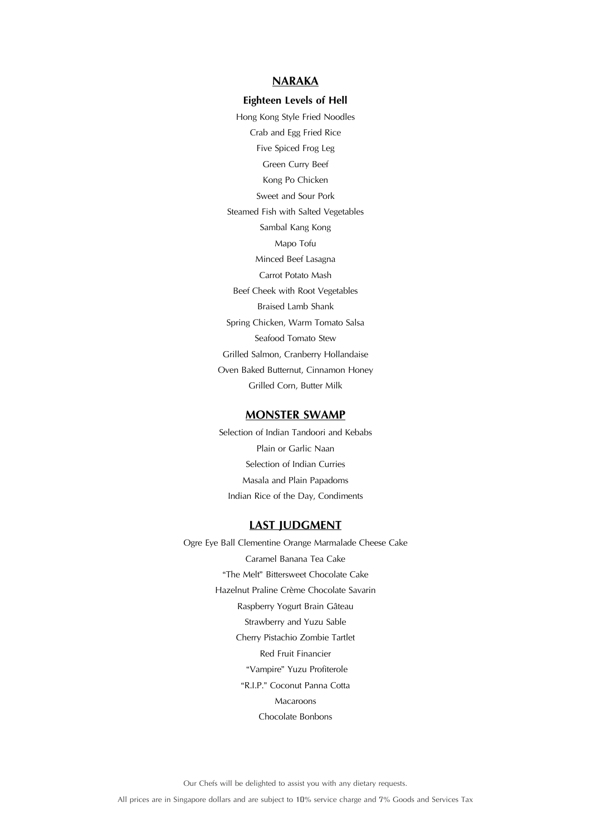### **NARAKA**

#### **Eighteen Levels of Hell**

Hong Kong Style Fried Noodles Crab and Egg Fried Rice Five Spiced Frog Leg Green Curry Beef Kong Po Chicken Sweet and Sour Pork Steamed Fish with Salted Vegetables Sambal Kang Kong Mapo Tofu Minced Beef Lasagna Carrot Potato Mash Beef Cheek with Root Vegetables Braised Lamb Shank Spring Chicken, Warm Tomato Salsa Seafood Tomato Stew Grilled Salmon, Cranberry Hollandaise Oven Baked Butternut, Cinnamon Honey Grilled Corn, Butter Milk

#### **MONSTER SWAMP**

Selection of Indian Tandoori and Kebabs Plain or Garlic Naan Selection of Indian Curries Masala and Plain Papadoms Indian Rice of the Day, Condiments

#### **LAST JUDGMENT**

Ogre Eye Ball Clementine Orange Marmalade Cheese Cake Caramel Banana Tea Cake "The Melt" Bittersweet Chocolate Cake Hazelnut Praline Crème Chocolate Savarin Raspberry Yogurt Brain Gâteau Strawberry and Yuzu Sable Cherry Pistachio Zombie Tartlet Red Fruit Financier "Vampire" Yuzu Profiterole "R.I.P." Coconut Panna Cotta Macaroons Chocolate Bonbons

Our Chefs will be delighted to assist you with any dietary requests.